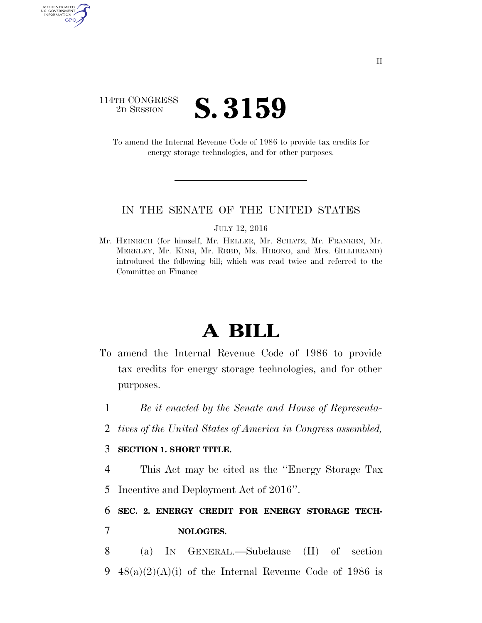## 114TH CONGRESS <sup>2D SESSION</sup> **S. 3159**

AUTHENTICATED<br>U.S. GOVERNMENT<br>INFORMATION GPO

> To amend the Internal Revenue Code of 1986 to provide tax credits for energy storage technologies, and for other purposes.

## IN THE SENATE OF THE UNITED STATES

JULY 12, 2016

Mr. HEINRICH (for himself, Mr. HELLER, Mr. SCHATZ, Mr. FRANKEN, Mr. MERKLEY, Mr. KING, Mr. REED, Ms. HIRONO, and Mrs. GILLIBRAND) introduced the following bill; which was read twice and referred to the Committee on Finance

## **A BILL**

- To amend the Internal Revenue Code of 1986 to provide tax credits for energy storage technologies, and for other purposes.
	- 1 *Be it enacted by the Senate and House of Representa-*
	- 2 *tives of the United States of America in Congress assembled,*

## 3 **SECTION 1. SHORT TITLE.**

4 This Act may be cited as the ''Energy Storage Tax 5 Incentive and Deployment Act of 2016''.

6 **SEC. 2. ENERGY CREDIT FOR ENERGY STORAGE TECH-**7 **NOLOGIES.** 

8 (a) IN GENERAL.—Subclause (II) of section 9  $48(a)(2)(A)(i)$  of the Internal Revenue Code of 1986 is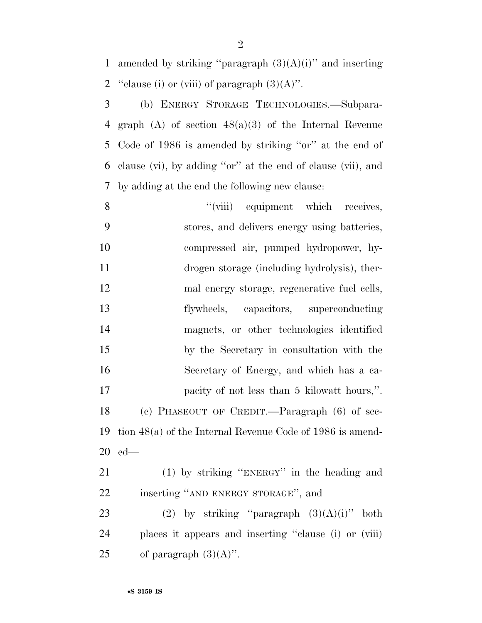1 amended by striking "paragraph  $(3)(A)(i)$ " and inserting 2 "clause (i) or (viii) of paragraph  $(3)(A)$ ".

 (b) ENERGY STORAGE TECHNOLOGIES.—Subpara- graph (A) of section 48(a)(3) of the Internal Revenue Code of 1986 is amended by striking ''or'' at the end of clause (vi), by adding ''or'' at the end of clause (vii), and by adding at the end the following new clause:

8 "(viii) equipment which receives, stores, and delivers energy using batteries, compressed air, pumped hydropower, hy- drogen storage (including hydrolysis), ther- mal energy storage, regenerative fuel cells, flywheels, capacitors, superconducting magnets, or other technologies identified by the Secretary in consultation with the Secretary of Energy, and which has a ca-**pacify of not less than 5 kilowatt hours,**". (c) PHASEOUT OF CREDIT.—Paragraph (6) of sec- tion 48(a) of the Internal Revenue Code of 1986 is amend-ed—

 (1) by striking ''ENERGY'' in the heading and inserting ''AND ENERGY STORAGE'', and

23 (2) by striking "paragraph  $(3)(A)(i)$ " both places it appears and inserting ''clause (i) or (viii) 25 of paragraph  $(3)(A)$ ".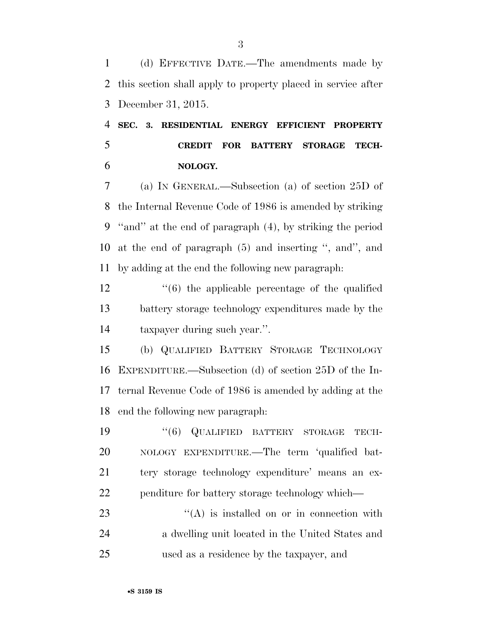(d) EFFECTIVE DATE.—The amendments made by this section shall apply to property placed in service after December 31, 2015.

 **SEC. 3. RESIDENTIAL ENERGY EFFICIENT PROPERTY CREDIT FOR BATTERY STORAGE TECH-NOLOGY.** 

 (a) IN GENERAL.—Subsection (a) of section 25D of the Internal Revenue Code of 1986 is amended by striking ''and'' at the end of paragraph (4), by striking the period at the end of paragraph (5) and inserting '', and'', and by adding at the end the following new paragraph:

 ''(6) the applicable percentage of the qualified battery storage technology expenditures made by the taxpayer during such year.''.

 (b) QUALIFIED BATTERY STORAGE TECHNOLOGY EXPENDITURE.—Subsection (d) of section 25D of the In- ternal Revenue Code of 1986 is amended by adding at the end the following new paragraph:

 $(6)$  QUALIFIED BATTERY STORAGE TECH- NOLOGY EXPENDITURE.—The term 'qualified bat- tery storage technology expenditure' means an ex-penditure for battery storage technology which—

23  $\langle (A)$  is installed on or in connection with a dwelling unit located in the United States and used as a residence by the taxpayer, and